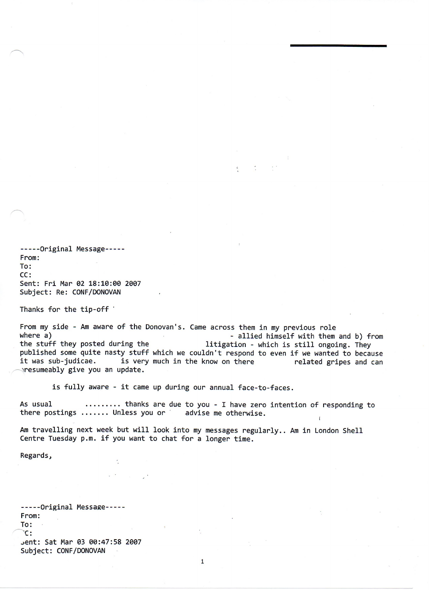-----Original Message----- From: To: CC: Sent: Fri Mar 02 18:10:00 2007 Subject: Re: CONF/DONOVAN

Thanks for the tip-off  $\cdot$ 

From my side - Am aware of the Donovan's. Came across them in my previous role<br>where a) - allied himself with them where a)<br>the stuff they posted during the  $\begin{array}{r} - \text{allied himself with them and b} \\ - \text{hich is still ongoing. They} \end{array}$ litigation - which is still ongoing. They published some quite nasty stuff which we couldn't respond to even if we wanted to because<br>it was sub-judicae. is very much in the know on there entitled gripes and can is very much in the know on there **related gripes and can**  $\gamma$ resumeably give you an update.

 $\frac{1}{2}$ 

is fully aware - it came up during our annual face-to-faces.

As usual ......... thanks are due to you - I have zero intention of responding to there postings  $\dots \dots$  Unless you or advise me otherwise.

Am travelling next week but will look into my messages regularly.. Am in London Shell Centre Tuesday p.m. if you want to chat for a longer time.

Regards,

-----Original Message-----From: To: c: jent: Sat Mar e3 ee:47:58 2ee7 Subject: CONF/DONOVAN

1